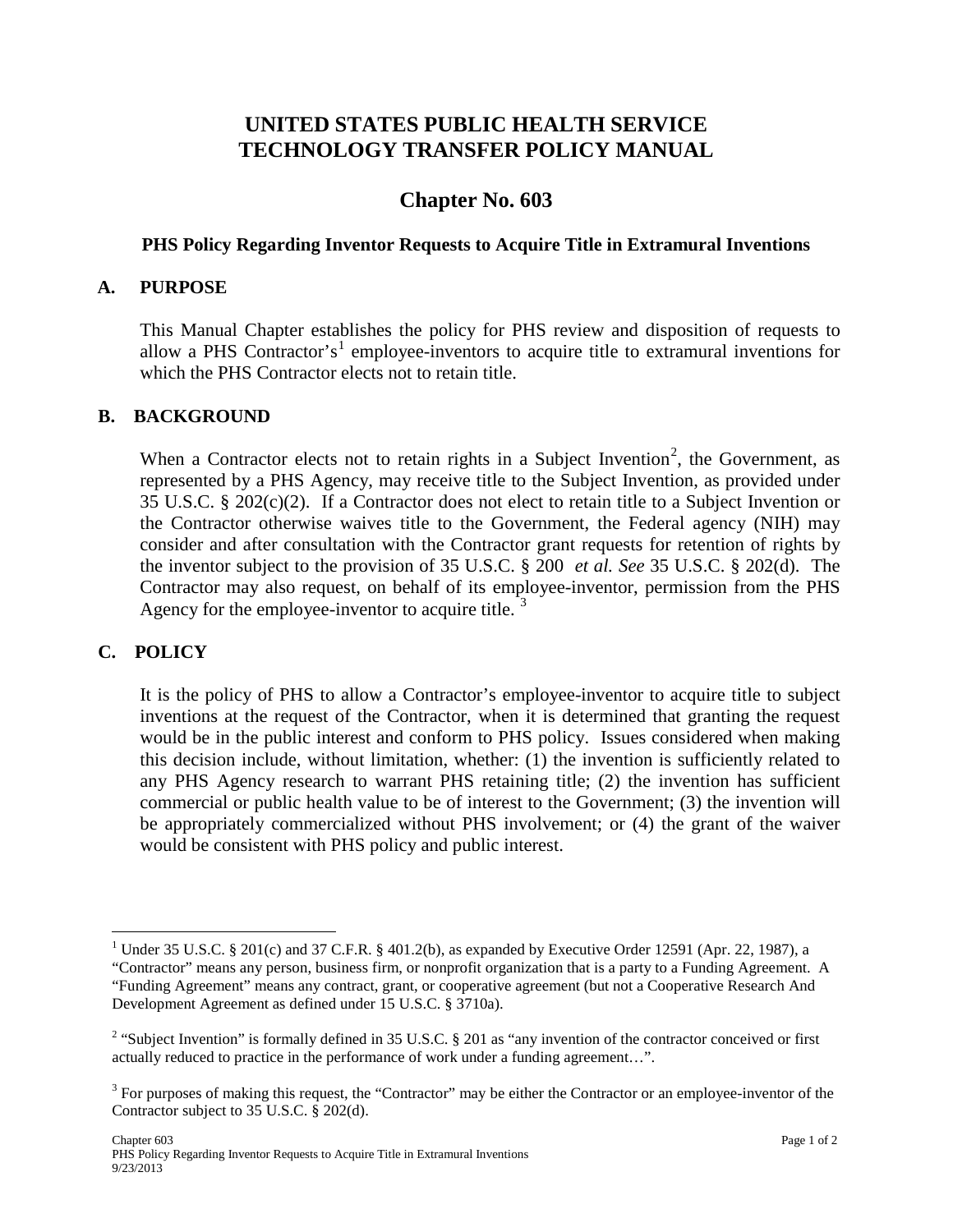# **UNITED STATES PUBLIC HEALTH SERVICE TECHNOLOGY TRANSFER POLICY MANUAL**

# **Chapter No. 603**

### **PHS Policy Regarding Inventor Requests to Acquire Title in Extramural Inventions**

#### **A. PURPOSE**

This Manual Chapter establishes the policy for PHS review and disposition of requests to allow a PHS Contractor's<sup>[1](#page-0-0)</sup> employee-inventors to acquire title to extramural inventions for which the PHS Contractor elects not to retain title.

### **B. BACKGROUND**

When a Contractor elects not to retain rights in a Subject Invention<sup>[2](#page-0-1)</sup>, the Government, as represented by a PHS Agency, may receive title to the Subject Invention, as provided under 35 U.S.C. § 202(c)(2). If a Contractor does not elect to retain title to a Subject Invention or the Contractor otherwise waives title to the Government, the Federal agency (NIH) may consider and after consultation with the Contractor grant requests for retention of rights by the inventor subject to the provision of 35 U.S.C. § 200 *et al. See* 35 U.S.C. § 202(d). The Contractor may also request, on behalf of its employee-inventor, permission from the PHS Agency for the employee-inventor to acquire title.<sup>[3](#page-0-2)</sup>

### **C. POLICY**

It is the policy of PHS to allow a Contractor's employee-inventor to acquire title to subject inventions at the request of the Contractor, when it is determined that granting the request would be in the public interest and conform to PHS policy. Issues considered when making this decision include, without limitation, whether: (1) the invention is sufficiently related to any PHS Agency research to warrant PHS retaining title; (2) the invention has sufficient commercial or public health value to be of interest to the Government; (3) the invention will be appropriately commercialized without PHS involvement; or (4) the grant of the waiver would be consistent with PHS policy and public interest.

<span id="page-0-0"></span><sup>&</sup>lt;sup>1</sup> Under 35 U.S.C. § 201(c) and 37 C.F.R. § 401.2(b), as expanded by Executive Order 12591 (Apr. 22, 1987), a "Contractor" means any person, business firm, or nonprofit organization that is a party to a Funding Agreement. A "Funding Agreement" means any contract, grant, or cooperative agreement (but not a Cooperative Research And Development Agreement as defined under 15 U.S.C. § 3710a).

<span id="page-0-1"></span><sup>&</sup>lt;sup>2</sup> "Subject Invention" is formally defined in 35 U.S.C. § 201 as "any invention of the contractor conceived or first actually reduced to practice in the performance of work under a funding agreement…".

<span id="page-0-2"></span><sup>&</sup>lt;sup>3</sup> For purposes of making this request, the "Contractor" may be either the Contractor or an employee-inventor of the Contractor subject to 35 U.S.C. § 202(d).